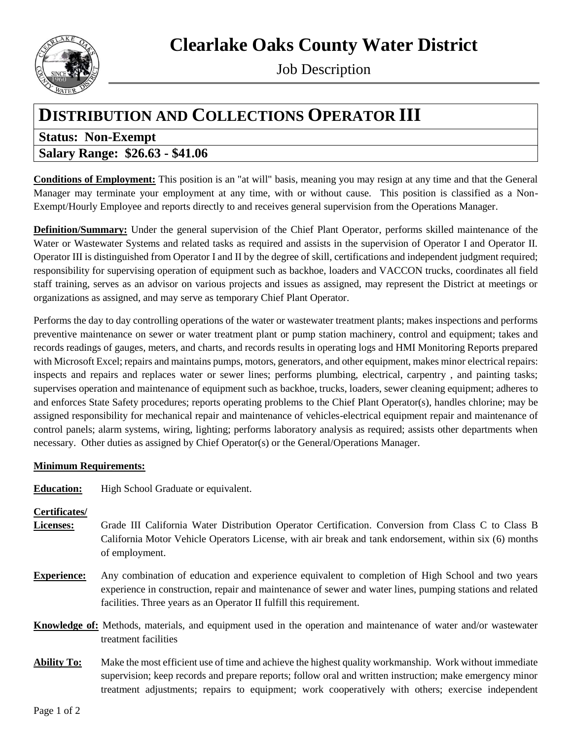# **Clearlake Oaks County Water District**



Job Description

## **DISTRIBUTION AND COLLECTIONS OPERATOR III**

### **Status: Non-Exempt Salary Range: \$26.63 - \$41.06**

**Conditions of Employment:** This position is an "at will" basis, meaning you may resign at any time and that the General Manager may terminate your employment at any time, with or without cause. This position is classified as a Non-Exempt/Hourly Employee and reports directly to and receives general supervision from the Operations Manager.

**Definition/Summary:** Under the general supervision of the Chief Plant Operator, performs skilled maintenance of the Water or Wastewater Systems and related tasks as required and assists in the supervision of Operator I and Operator II. Operator III is distinguished from Operator I and II by the degree of skill, certifications and independent judgment required; responsibility for supervising operation of equipment such as backhoe, loaders and VACCON trucks, coordinates all field staff training, serves as an advisor on various projects and issues as assigned, may represent the District at meetings or organizations as assigned, and may serve as temporary Chief Plant Operator.

Performs the day to day controlling operations of the water or wastewater treatment plants; makes inspections and performs preventive maintenance on sewer or water treatment plant or pump station machinery, control and equipment; takes and records readings of gauges, meters, and charts, and records results in operating logs and HMI Monitoring Reports prepared with Microsoft Excel; repairs and maintains pumps, motors, generators, and other equipment, makes minor electrical repairs: inspects and repairs and replaces water or sewer lines; performs plumbing, electrical, carpentry , and painting tasks; supervises operation and maintenance of equipment such as backhoe, trucks, loaders, sewer cleaning equipment; adheres to and enforces State Safety procedures; reports operating problems to the Chief Plant Operator(s), handles chlorine; may be assigned responsibility for mechanical repair and maintenance of vehicles-electrical equipment repair and maintenance of control panels; alarm systems, wiring, lighting; performs laboratory analysis as required; assists other departments when necessary. Other duties as assigned by Chief Operator(s) or the General/Operations Manager.

### **Minimum Requirements:**

**Education:** High School Graduate or equivalent.

### **Certificates/**

- **Licenses:** Grade III California Water Distribution Operator Certification. Conversion from Class C to Class B California Motor Vehicle Operators License, with air break and tank endorsement, within six (6) months of employment.
- **Experience:** Any combination of education and experience equivalent to completion of High School and two years experience in construction, repair and maintenance of sewer and water lines, pumping stations and related facilities. Three years as an Operator II fulfill this requirement.
- **Knowledge of:** Methods, materials, and equipment used in the operation and maintenance of water and/or wastewater treatment facilities
- **Ability To:** Make the most efficient use of time and achieve the highest quality workmanship. Work without immediate supervision; keep records and prepare reports; follow oral and written instruction; make emergency minor treatment adjustments; repairs to equipment; work cooperatively with others; exercise independent